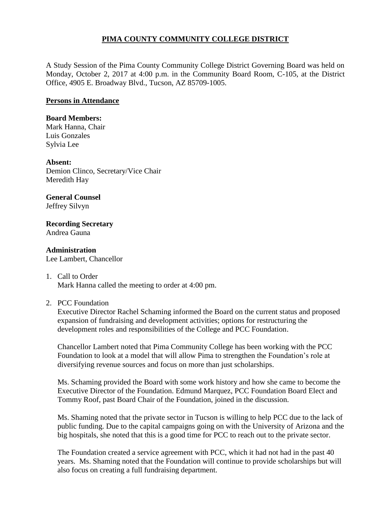## **PIMA COUNTY COMMUNITY COLLEGE DISTRICT**

A Study Session of the Pima County Community College District Governing Board was held on Monday, October 2, 2017 at 4:00 p.m. in the Community Board Room, C-105, at the District Office, 4905 E. Broadway Blvd., Tucson, AZ 85709-1005.

## **Persons in Attendance**

## **Board Members:**

Mark Hanna, Chair Luis Gonzales Sylvia Lee

**Absent:** Demion Clinco, Secretary/Vice Chair Meredith Hay

**General Counsel**  Jeffrey Silvyn

**Recording Secretary** Andrea Gauna

**Administration** Lee Lambert, Chancellor

1. Call to Order Mark Hanna called the meeting to order at 4:00 pm.

2. PCC Foundation

Executive Director Rachel Schaming informed the Board on the current status and proposed expansion of fundraising and development activities; options for restructuring the development roles and responsibilities of the College and PCC Foundation.

Chancellor Lambert noted that Pima Community College has been working with the PCC Foundation to look at a model that will allow Pima to strengthen the Foundation's role at diversifying revenue sources and focus on more than just scholarships.

Ms. Schaming provided the Board with some work history and how she came to become the Executive Director of the Foundation. Edmund Marquez, PCC Foundation Board Elect and Tommy Roof, past Board Chair of the Foundation, joined in the discussion.

Ms. Shaming noted that the private sector in Tucson is willing to help PCC due to the lack of public funding. Due to the capital campaigns going on with the University of Arizona and the big hospitals, she noted that this is a good time for PCC to reach out to the private sector.

The Foundation created a service agreement with PCC, which it had not had in the past 40 years. Ms. Shaming noted that the Foundation will continue to provide scholarships but will also focus on creating a full fundraising department.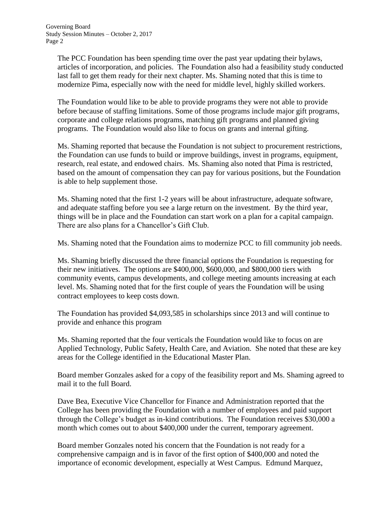The PCC Foundation has been spending time over the past year updating their bylaws, articles of incorporation, and policies. The Foundation also had a feasibility study conducted last fall to get them ready for their next chapter. Ms. Shaming noted that this is time to modernize Pima, especially now with the need for middle level, highly skilled workers.

The Foundation would like to be able to provide programs they were not able to provide before because of staffing limitations. Some of those programs include major gift programs, corporate and college relations programs, matching gift programs and planned giving programs. The Foundation would also like to focus on grants and internal gifting.

Ms. Shaming reported that because the Foundation is not subject to procurement restrictions, the Foundation can use funds to build or improve buildings, invest in programs, equipment, research, real estate, and endowed chairs. Ms. Shaming also noted that Pima is restricted, based on the amount of compensation they can pay for various positions, but the Foundation is able to help supplement those.

Ms. Shaming noted that the first 1-2 years will be about infrastructure, adequate software, and adequate staffing before you see a large return on the investment. By the third year, things will be in place and the Foundation can start work on a plan for a capital campaign. There are also plans for a Chancellor's Gift Club.

Ms. Shaming noted that the Foundation aims to modernize PCC to fill community job needs.

Ms. Shaming briefly discussed the three financial options the Foundation is requesting for their new initiatives. The options are \$400,000, \$600,000, and \$800,000 tiers with community events, campus developments, and college meeting amounts increasing at each level. Ms. Shaming noted that for the first couple of years the Foundation will be using contract employees to keep costs down.

The Foundation has provided \$4,093,585 in scholarships since 2013 and will continue to provide and enhance this program

Ms. Shaming reported that the four verticals the Foundation would like to focus on are Applied Technology, Public Safety, Health Care, and Aviation. She noted that these are key areas for the College identified in the Educational Master Plan.

Board member Gonzales asked for a copy of the feasibility report and Ms. Shaming agreed to mail it to the full Board.

Dave Bea, Executive Vice Chancellor for Finance and Administration reported that the College has been providing the Foundation with a number of employees and paid support through the College's budget as in-kind contributions. The Foundation receives \$30,000 a month which comes out to about \$400,000 under the current, temporary agreement.

Board member Gonzales noted his concern that the Foundation is not ready for a comprehensive campaign and is in favor of the first option of \$400,000 and noted the importance of economic development, especially at West Campus. Edmund Marquez,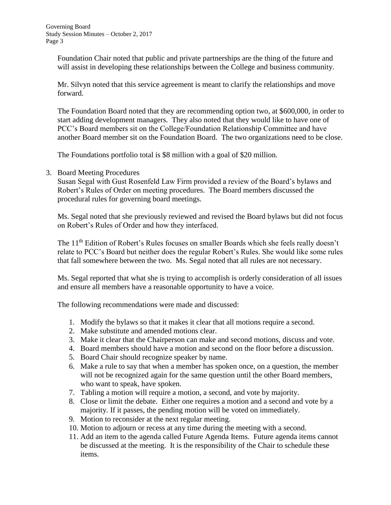Foundation Chair noted that public and private partnerships are the thing of the future and will assist in developing these relationships between the College and business community.

Mr. Silvyn noted that this service agreement is meant to clarify the relationships and move forward.

The Foundation Board noted that they are recommending option two, at \$600,000, in order to start adding development managers. They also noted that they would like to have one of PCC's Board members sit on the College/Foundation Relationship Committee and have another Board member sit on the Foundation Board. The two organizations need to be close.

The Foundations portfolio total is \$8 million with a goal of \$20 million.

3. Board Meeting Procedures

Susan Segal with Gust Rosenfeld Law Firm provided a review of the Board's bylaws and Robert's Rules of Order on meeting procedures. The Board members discussed the procedural rules for governing board meetings.

Ms. Segal noted that she previously reviewed and revised the Board bylaws but did not focus on Robert's Rules of Order and how they interfaced.

The 11<sup>th</sup> Edition of Robert's Rules focuses on smaller Boards which she feels really doesn't relate to PCC's Board but neither does the regular Robert's Rules. She would like some rules that fall somewhere between the two. Ms. Segal noted that all rules are not necessary.

Ms. Segal reported that what she is trying to accomplish is orderly consideration of all issues and ensure all members have a reasonable opportunity to have a voice.

The following recommendations were made and discussed:

- 1. Modify the bylaws so that it makes it clear that all motions require a second.
- 2. Make substitute and amended motions clear.
- 3. Make it clear that the Chairperson can make and second motions, discuss and vote.
- 4. Board members should have a motion and second on the floor before a discussion.
- 5. Board Chair should recognize speaker by name.
- 6. Make a rule to say that when a member has spoken once, on a question, the member will not be recognized again for the same question until the other Board members, who want to speak, have spoken.
- 7. Tabling a motion will require a motion, a second, and vote by majority.
- 8. Close or limit the debate. Either one requires a motion and a second and vote by a majority. If it passes, the pending motion will be voted on immediately.
- 9. Motion to reconsider at the next regular meeting.
- 10. Motion to adjourn or recess at any time during the meeting with a second.
- 11. Add an item to the agenda called Future Agenda Items. Future agenda items cannot be discussed at the meeting. It is the responsibility of the Chair to schedule these items.